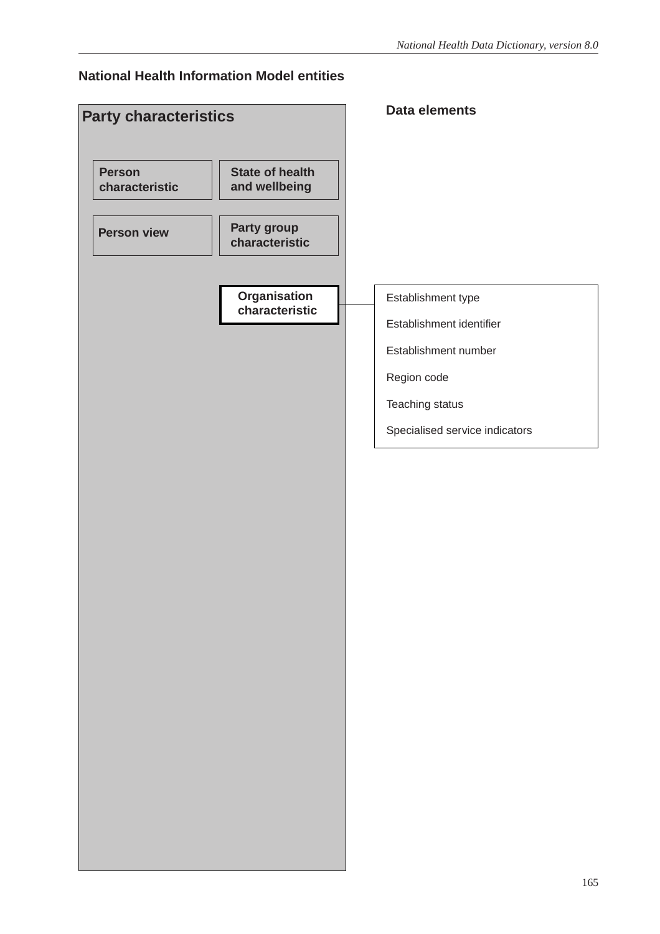#### **National Health Information Model entities**

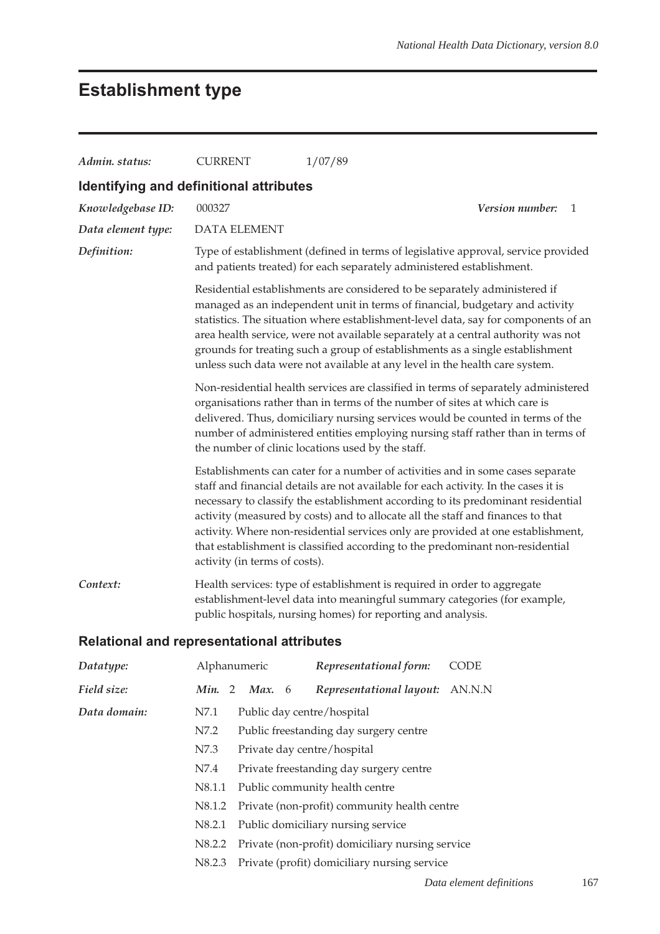## **Establishment type**

| Admin. status:                                    | <b>CURRENT</b>                                                                                                                                                                                                                                                                                                                                                                                                                                                                                                                                     |                                                            |  | 1/07/89                                                               |                                                                                   |  |  |  |  |  |
|---------------------------------------------------|----------------------------------------------------------------------------------------------------------------------------------------------------------------------------------------------------------------------------------------------------------------------------------------------------------------------------------------------------------------------------------------------------------------------------------------------------------------------------------------------------------------------------------------------------|------------------------------------------------------------|--|-----------------------------------------------------------------------|-----------------------------------------------------------------------------------|--|--|--|--|--|
| Identifying and definitional attributes           |                                                                                                                                                                                                                                                                                                                                                                                                                                                                                                                                                    |                                                            |  |                                                                       |                                                                                   |  |  |  |  |  |
| Knowledgebase ID:                                 | 000327                                                                                                                                                                                                                                                                                                                                                                                                                                                                                                                                             | Version number:<br>1                                       |  |                                                                       |                                                                                   |  |  |  |  |  |
| Data element type:                                |                                                                                                                                                                                                                                                                                                                                                                                                                                                                                                                                                    | <b>DATA ELEMENT</b>                                        |  |                                                                       |                                                                                   |  |  |  |  |  |
| Definition:                                       |                                                                                                                                                                                                                                                                                                                                                                                                                                                                                                                                                    |                                                            |  | and patients treated) for each separately administered establishment. | Type of establishment (defined in terms of legislative approval, service provided |  |  |  |  |  |
|                                                   | Residential establishments are considered to be separately administered if<br>managed as an independent unit in terms of financial, budgetary and activity<br>statistics. The situation where establishment-level data, say for components of an<br>area health service, were not available separately at a central authority was not<br>grounds for treating such a group of establishments as a single establishment<br>unless such data were not available at any level in the health care system.                                              |                                                            |  |                                                                       |                                                                                   |  |  |  |  |  |
|                                                   | Non-residential health services are classified in terms of separately administered<br>organisations rather than in terms of the number of sites at which care is<br>delivered. Thus, domiciliary nursing services would be counted in terms of the<br>number of administered entities employing nursing staff rather than in terms of<br>the number of clinic locations used by the staff.                                                                                                                                                         |                                                            |  |                                                                       |                                                                                   |  |  |  |  |  |
|                                                   | Establishments can cater for a number of activities and in some cases separate<br>staff and financial details are not available for each activity. In the cases it is<br>necessary to classify the establishment according to its predominant residential<br>activity (measured by costs) and to allocate all the staff and finances to that<br>activity. Where non-residential services only are provided at one establishment,<br>that establishment is classified according to the predominant non-residential<br>activity (in terms of costs). |                                                            |  |                                                                       |                                                                                   |  |  |  |  |  |
| Context:                                          | Health services: type of establishment is required in order to aggregate<br>establishment-level data into meaningful summary categories (for example,<br>public hospitals, nursing homes) for reporting and analysis.                                                                                                                                                                                                                                                                                                                              |                                                            |  |                                                                       |                                                                                   |  |  |  |  |  |
| <b>Relational and representational attributes</b> |                                                                                                                                                                                                                                                                                                                                                                                                                                                                                                                                                    |                                                            |  |                                                                       |                                                                                   |  |  |  |  |  |
| Datatype:                                         | Alphanumeric                                                                                                                                                                                                                                                                                                                                                                                                                                                                                                                                       |                                                            |  | Representational form:                                                | CODE                                                                              |  |  |  |  |  |
| Field size:                                       | Min. 2                                                                                                                                                                                                                                                                                                                                                                                                                                                                                                                                             | Max.<br>6                                                  |  | Representational layout:                                              | AN.N.N                                                                            |  |  |  |  |  |
| Data domain:                                      | N7.1                                                                                                                                                                                                                                                                                                                                                                                                                                                                                                                                               |                                                            |  | Public day centre/hospital                                            |                                                                                   |  |  |  |  |  |
|                                                   | N7.2                                                                                                                                                                                                                                                                                                                                                                                                                                                                                                                                               | Public freestanding day surgery centre                     |  |                                                                       |                                                                                   |  |  |  |  |  |
|                                                   | N7.3                                                                                                                                                                                                                                                                                                                                                                                                                                                                                                                                               | Private day centre/hospital                                |  |                                                                       |                                                                                   |  |  |  |  |  |
|                                                   | N7.4                                                                                                                                                                                                                                                                                                                                                                                                                                                                                                                                               | Private freestanding day surgery centre                    |  |                                                                       |                                                                                   |  |  |  |  |  |
|                                                   |                                                                                                                                                                                                                                                                                                                                                                                                                                                                                                                                                    | $\rm N8.1.1$<br>Public community health centre             |  |                                                                       |                                                                                   |  |  |  |  |  |
|                                                   | N8.1.2                                                                                                                                                                                                                                                                                                                                                                                                                                                                                                                                             | Private (non-profit) community health centre               |  |                                                                       |                                                                                   |  |  |  |  |  |
|                                                   | N8.2.1                                                                                                                                                                                                                                                                                                                                                                                                                                                                                                                                             |                                                            |  | Public domiciliary nursing service                                    |                                                                                   |  |  |  |  |  |
|                                                   |                                                                                                                                                                                                                                                                                                                                                                                                                                                                                                                                                    | N8.2.2<br>Private (non-profit) domiciliary nursing service |  |                                                                       |                                                                                   |  |  |  |  |  |
|                                                   | N8.2.3                                                                                                                                                                                                                                                                                                                                                                                                                                                                                                                                             |                                                            |  | Private (profit) domiciliary nursing service                          |                                                                                   |  |  |  |  |  |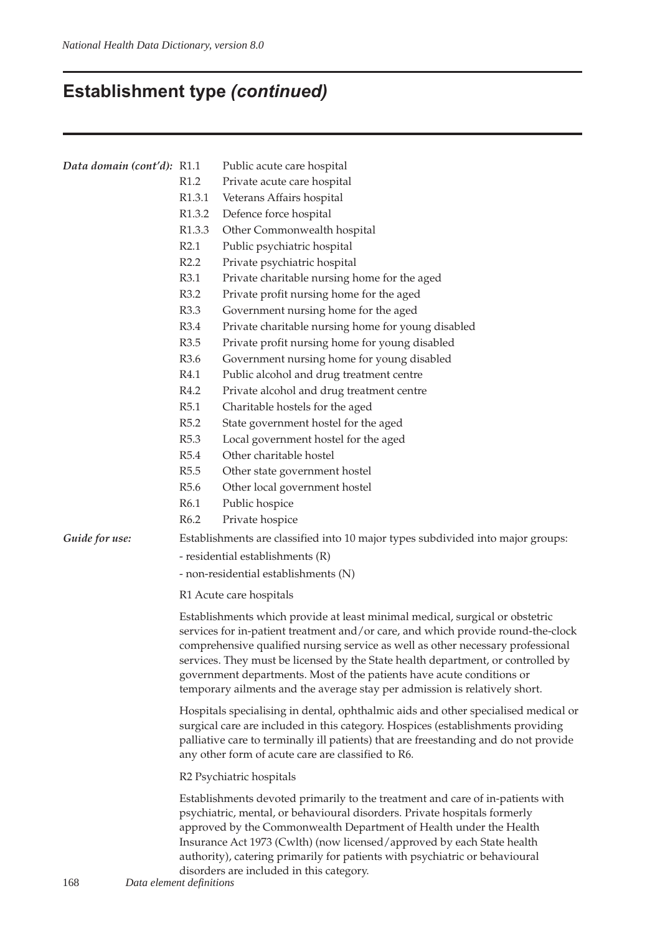# **Establishment type** *(continued)*

| Data domain (cont'd): R1.1 |                                                                                                                                                                                                                                                                                                                                                                                                                                                                                                | Public acute care hospital                         |  |  |  |  |  |
|----------------------------|------------------------------------------------------------------------------------------------------------------------------------------------------------------------------------------------------------------------------------------------------------------------------------------------------------------------------------------------------------------------------------------------------------------------------------------------------------------------------------------------|----------------------------------------------------|--|--|--|--|--|
|                            | R <sub>1.2</sub>                                                                                                                                                                                                                                                                                                                                                                                                                                                                               | Private acute care hospital                        |  |  |  |  |  |
|                            | R <sub>1.3.1</sub>                                                                                                                                                                                                                                                                                                                                                                                                                                                                             | Veterans Affairs hospital                          |  |  |  |  |  |
|                            | R <sub>1.3.2</sub>                                                                                                                                                                                                                                                                                                                                                                                                                                                                             | Defence force hospital                             |  |  |  |  |  |
|                            | R1.3.3                                                                                                                                                                                                                                                                                                                                                                                                                                                                                         | Other Commonwealth hospital                        |  |  |  |  |  |
|                            | R2.1                                                                                                                                                                                                                                                                                                                                                                                                                                                                                           | Public psychiatric hospital                        |  |  |  |  |  |
|                            | R2.2                                                                                                                                                                                                                                                                                                                                                                                                                                                                                           | Private psychiatric hospital                       |  |  |  |  |  |
|                            | R3.1                                                                                                                                                                                                                                                                                                                                                                                                                                                                                           | Private charitable nursing home for the aged       |  |  |  |  |  |
|                            | R3.2                                                                                                                                                                                                                                                                                                                                                                                                                                                                                           | Private profit nursing home for the aged           |  |  |  |  |  |
|                            | R3.3                                                                                                                                                                                                                                                                                                                                                                                                                                                                                           | Government nursing home for the aged               |  |  |  |  |  |
|                            | R3.4                                                                                                                                                                                                                                                                                                                                                                                                                                                                                           | Private charitable nursing home for young disabled |  |  |  |  |  |
|                            | R3.5                                                                                                                                                                                                                                                                                                                                                                                                                                                                                           | Private profit nursing home for young disabled     |  |  |  |  |  |
|                            | R3.6                                                                                                                                                                                                                                                                                                                                                                                                                                                                                           | Government nursing home for young disabled         |  |  |  |  |  |
|                            | R4.1                                                                                                                                                                                                                                                                                                                                                                                                                                                                                           | Public alcohol and drug treatment centre           |  |  |  |  |  |
|                            | R4.2                                                                                                                                                                                                                                                                                                                                                                                                                                                                                           | Private alcohol and drug treatment centre          |  |  |  |  |  |
|                            | R5.1                                                                                                                                                                                                                                                                                                                                                                                                                                                                                           | Charitable hostels for the aged                    |  |  |  |  |  |
|                            | R5.2                                                                                                                                                                                                                                                                                                                                                                                                                                                                                           | State government hostel for the aged               |  |  |  |  |  |
|                            | R5.3                                                                                                                                                                                                                                                                                                                                                                                                                                                                                           | Local government hostel for the aged               |  |  |  |  |  |
|                            | R5.4                                                                                                                                                                                                                                                                                                                                                                                                                                                                                           | Other charitable hostel                            |  |  |  |  |  |
|                            | R5.5                                                                                                                                                                                                                                                                                                                                                                                                                                                                                           | Other state government hostel                      |  |  |  |  |  |
|                            | R <sub>5.6</sub>                                                                                                                                                                                                                                                                                                                                                                                                                                                                               | Other local government hostel                      |  |  |  |  |  |
|                            | R6.1                                                                                                                                                                                                                                                                                                                                                                                                                                                                                           | Public hospice                                     |  |  |  |  |  |
|                            | R6.2                                                                                                                                                                                                                                                                                                                                                                                                                                                                                           | Private hospice                                    |  |  |  |  |  |
| Guide for use:             | Establishments are classified into 10 major types subdivided into major groups:                                                                                                                                                                                                                                                                                                                                                                                                                |                                                    |  |  |  |  |  |
|                            | - residential establishments (R)                                                                                                                                                                                                                                                                                                                                                                                                                                                               |                                                    |  |  |  |  |  |
|                            | - non-residential establishments (N)                                                                                                                                                                                                                                                                                                                                                                                                                                                           |                                                    |  |  |  |  |  |
|                            | R1 Acute care hospitals                                                                                                                                                                                                                                                                                                                                                                                                                                                                        |                                                    |  |  |  |  |  |
|                            |                                                                                                                                                                                                                                                                                                                                                                                                                                                                                                |                                                    |  |  |  |  |  |
|                            | Establishments which provide at least minimal medical, surgical or obstetric<br>services for in-patient treatment and/or care, and which provide round-the-clock<br>comprehensive qualified nursing service as well as other necessary professional<br>services. They must be licensed by the State health department, or controlled by<br>government departments. Most of the patients have acute conditions or<br>temporary ailments and the average stay per admission is relatively short. |                                                    |  |  |  |  |  |
|                            | Hospitals specialising in dental, ophthalmic aids and other specialised medical or<br>surgical care are included in this category. Hospices (establishments providing<br>palliative care to terminally ill patients) that are freestanding and do not provide<br>any other form of acute care are classified to R6.                                                                                                                                                                            |                                                    |  |  |  |  |  |
|                            | R2 Psychiatric hospitals                                                                                                                                                                                                                                                                                                                                                                                                                                                                       |                                                    |  |  |  |  |  |
|                            | Establishments devoted primarily to the treatment and care of in-patients with<br>psychiatric, mental, or behavioural disorders. Private hospitals formerly<br>approved by the Commonwealth Department of Health under the Health<br>Insurance Act 1973 (Cwlth) (now licensed/approved by each State health<br>authority), catering primarily for patients with psychiatric or behavioural<br>disorders are included in this category.                                                         |                                                    |  |  |  |  |  |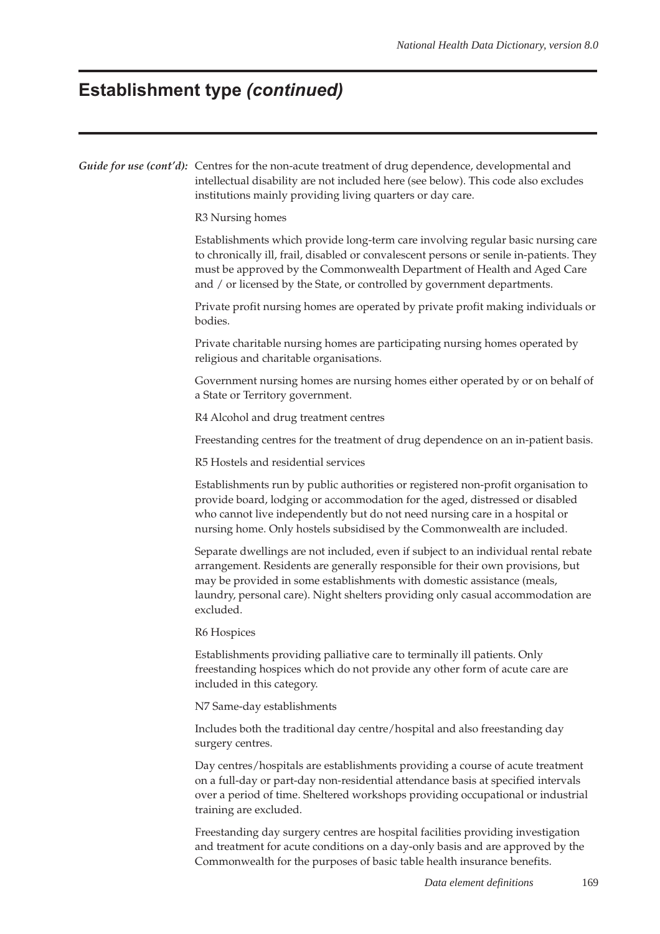## **Establishment type** *(continued)*

|  | Guide for use (cont'd): Centres for the non-acute treatment of drug dependence, developmental and<br>intellectual disability are not included here (see below). This code also excludes<br>institutions mainly providing living quarters or day care.                                                                                            |  |  |  |  |  |  |  |
|--|--------------------------------------------------------------------------------------------------------------------------------------------------------------------------------------------------------------------------------------------------------------------------------------------------------------------------------------------------|--|--|--|--|--|--|--|
|  | R3 Nursing homes                                                                                                                                                                                                                                                                                                                                 |  |  |  |  |  |  |  |
|  | Establishments which provide long-term care involving regular basic nursing care<br>to chronically ill, frail, disabled or convalescent persons or senile in-patients. They<br>must be approved by the Commonwealth Department of Health and Aged Care<br>and / or licensed by the State, or controlled by government departments.               |  |  |  |  |  |  |  |
|  | Private profit nursing homes are operated by private profit making individuals or<br>bodies.                                                                                                                                                                                                                                                     |  |  |  |  |  |  |  |
|  | Private charitable nursing homes are participating nursing homes operated by<br>religious and charitable organisations.                                                                                                                                                                                                                          |  |  |  |  |  |  |  |
|  | Government nursing homes are nursing homes either operated by or on behalf of<br>a State or Territory government.                                                                                                                                                                                                                                |  |  |  |  |  |  |  |
|  | R4 Alcohol and drug treatment centres                                                                                                                                                                                                                                                                                                            |  |  |  |  |  |  |  |
|  | Freestanding centres for the treatment of drug dependence on an in-patient basis.                                                                                                                                                                                                                                                                |  |  |  |  |  |  |  |
|  | R5 Hostels and residential services                                                                                                                                                                                                                                                                                                              |  |  |  |  |  |  |  |
|  | Establishments run by public authorities or registered non-profit organisation to<br>provide board, lodging or accommodation for the aged, distressed or disabled<br>who cannot live independently but do not need nursing care in a hospital or<br>nursing home. Only hostels subsidised by the Commonwealth are included.                      |  |  |  |  |  |  |  |
|  | Separate dwellings are not included, even if subject to an individual rental rebate<br>arrangement. Residents are generally responsible for their own provisions, but<br>may be provided in some establishments with domestic assistance (meals,<br>laundry, personal care). Night shelters providing only casual accommodation are<br>excluded. |  |  |  |  |  |  |  |
|  | R6 Hospices                                                                                                                                                                                                                                                                                                                                      |  |  |  |  |  |  |  |
|  | Establishments providing palliative care to terminally ill patients. Only<br>freestanding hospices which do not provide any other form of acute care are<br>included in this category.                                                                                                                                                           |  |  |  |  |  |  |  |
|  | N7 Same-day establishments                                                                                                                                                                                                                                                                                                                       |  |  |  |  |  |  |  |
|  | Includes both the traditional day centre/hospital and also freestanding day<br>surgery centres.                                                                                                                                                                                                                                                  |  |  |  |  |  |  |  |
|  | Day centres/hospitals are establishments providing a course of acute treatment<br>on a full-day or part-day non-residential attendance basis at specified intervals<br>over a period of time. Sheltered workshops providing occupational or industrial                                                                                           |  |  |  |  |  |  |  |

Freestanding day surgery centres are hospital facilities providing investigation and treatment for acute conditions on a day-only basis and are approved by the Commonwealth for the purposes of basic table health insurance benefits.

training are excluded.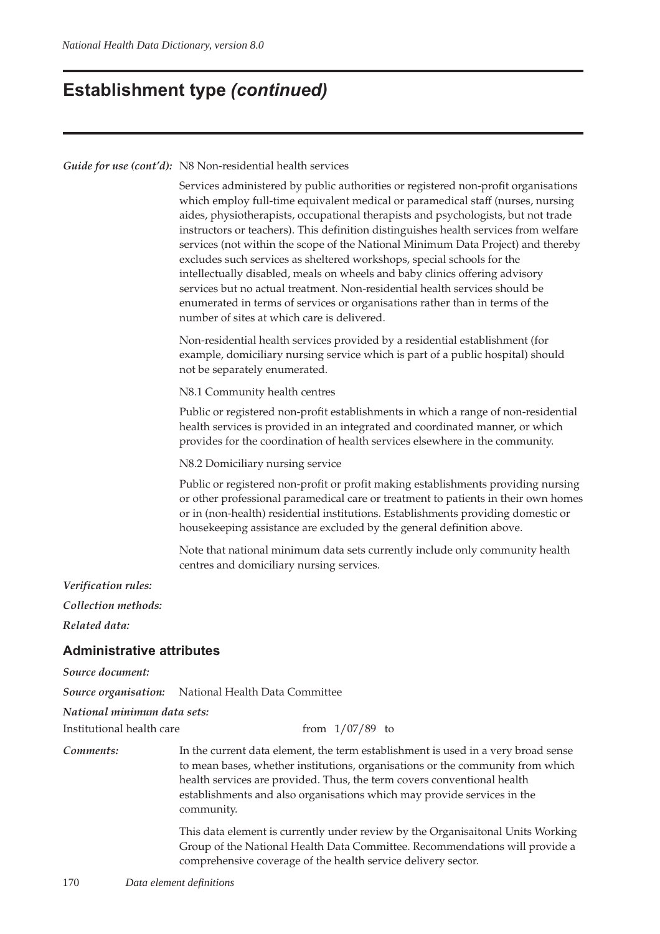### **Establishment type** *(continued)*

*Guide for use (cont'd):* N8 Non-residential health services

Services administered by public authorities or registered non-profit organisations which employ full-time equivalent medical or paramedical staff (nurses, nursing aides, physiotherapists, occupational therapists and psychologists, but not trade instructors or teachers). This definition distinguishes health services from welfare services (not within the scope of the National Minimum Data Project) and thereby excludes such services as sheltered workshops, special schools for the intellectually disabled, meals on wheels and baby clinics offering advisory services but no actual treatment. Non-residential health services should be enumerated in terms of services or organisations rather than in terms of the number of sites at which care is delivered.

Non-residential health services provided by a residential establishment (for example, domiciliary nursing service which is part of a public hospital) should not be separately enumerated.

N8.1 Community health centres

Public or registered non-profit establishments in which a range of non-residential health services is provided in an integrated and coordinated manner, or which provides for the coordination of health services elsewhere in the community.

N8.2 Domiciliary nursing service

Public or registered non-profit or profit making establishments providing nursing or other professional paramedical care or treatment to patients in their own homes or in (non-health) residential institutions. Establishments providing domestic or housekeeping assistance are excluded by the general definition above.

Note that national minimum data sets currently include only community health centres and domiciliary nursing services.

*Verification rules:*

*Collection methods:*

*Related data:*

#### **Administrative attributes**

*Source document:*

*Source organisation:* National Health Data Committee

*National minimum data sets:*

Institutional health care from 1/07/89 to

*Comments:* In the current data element, the term establishment is used in a very broad sense to mean bases, whether institutions, organisations or the community from which health services are provided. Thus, the term covers conventional health establishments and also organisations which may provide services in the community.

> This data element is currently under review by the Organisaitonal Units Working Group of the National Health Data Committee. Recommendations will provide a comprehensive coverage of the health service delivery sector.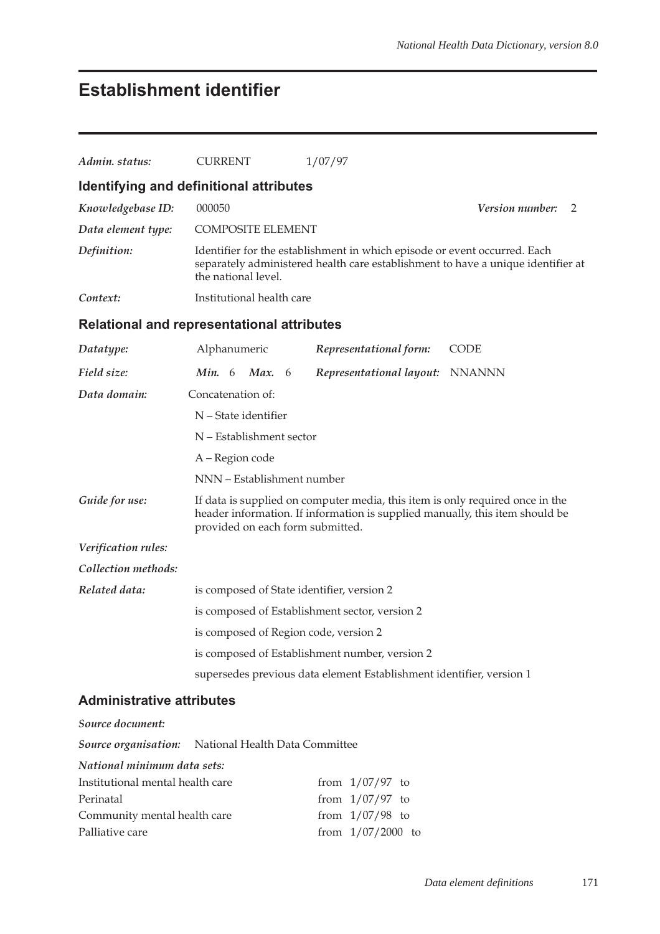## **Establishment identifier**

| Admin. status:                   | <b>CURRENT</b>                                                                                                                                                                                    | 1/07/97                                                                                                                                                       |                      |  |  |  |  |  |  |  |
|----------------------------------|---------------------------------------------------------------------------------------------------------------------------------------------------------------------------------------------------|---------------------------------------------------------------------------------------------------------------------------------------------------------------|----------------------|--|--|--|--|--|--|--|
|                                  | Identifying and definitional attributes                                                                                                                                                           |                                                                                                                                                               |                      |  |  |  |  |  |  |  |
| Knowledgebase ID:                | 000050                                                                                                                                                                                            |                                                                                                                                                               | Version number:<br>2 |  |  |  |  |  |  |  |
| Data element type:               | <b>COMPOSITE ELEMENT</b>                                                                                                                                                                          |                                                                                                                                                               |                      |  |  |  |  |  |  |  |
| Definition:                      | the national level.                                                                                                                                                                               | Identifier for the establishment in which episode or event occurred. Each<br>separately administered health care establishment to have a unique identifier at |                      |  |  |  |  |  |  |  |
| Context:                         | Institutional health care                                                                                                                                                                         |                                                                                                                                                               |                      |  |  |  |  |  |  |  |
|                                  | Relational and representational attributes                                                                                                                                                        |                                                                                                                                                               |                      |  |  |  |  |  |  |  |
| Datatype:                        | Alphanumeric                                                                                                                                                                                      | Representational form:                                                                                                                                        | <b>CODE</b>          |  |  |  |  |  |  |  |
| Field size:                      | <b>Min.</b> 6<br><b>Max.</b> 6                                                                                                                                                                    | Representational layout: NNANNN                                                                                                                               |                      |  |  |  |  |  |  |  |
| Data domain:                     | Concatenation of:                                                                                                                                                                                 |                                                                                                                                                               |                      |  |  |  |  |  |  |  |
|                                  | N - State identifier                                                                                                                                                                              |                                                                                                                                                               |                      |  |  |  |  |  |  |  |
|                                  | N - Establishment sector                                                                                                                                                                          |                                                                                                                                                               |                      |  |  |  |  |  |  |  |
|                                  | A – Region code                                                                                                                                                                                   |                                                                                                                                                               |                      |  |  |  |  |  |  |  |
|                                  | NNN - Establishment number                                                                                                                                                                        |                                                                                                                                                               |                      |  |  |  |  |  |  |  |
| Guide for use:                   | If data is supplied on computer media, this item is only required once in the<br>header information. If information is supplied manually, this item should be<br>provided on each form submitted. |                                                                                                                                                               |                      |  |  |  |  |  |  |  |
| Verification rules:              |                                                                                                                                                                                                   |                                                                                                                                                               |                      |  |  |  |  |  |  |  |
| Collection methods:              |                                                                                                                                                                                                   |                                                                                                                                                               |                      |  |  |  |  |  |  |  |
| Related data:                    | is composed of State identifier, version 2                                                                                                                                                        |                                                                                                                                                               |                      |  |  |  |  |  |  |  |
|                                  |                                                                                                                                                                                                   | is composed of Establishment sector, version 2                                                                                                                |                      |  |  |  |  |  |  |  |
|                                  | is composed of Region code, version 2                                                                                                                                                             |                                                                                                                                                               |                      |  |  |  |  |  |  |  |
|                                  |                                                                                                                                                                                                   | is composed of Establishment number, version 2                                                                                                                |                      |  |  |  |  |  |  |  |
|                                  |                                                                                                                                                                                                   | supersedes previous data element Establishment identifier, version 1                                                                                          |                      |  |  |  |  |  |  |  |
| <b>Administrative attributes</b> |                                                                                                                                                                                                   |                                                                                                                                                               |                      |  |  |  |  |  |  |  |
| Source document:                 |                                                                                                                                                                                                   |                                                                                                                                                               |                      |  |  |  |  |  |  |  |
|                                  | Source organisation: National Health Data Committee                                                                                                                                               |                                                                                                                                                               |                      |  |  |  |  |  |  |  |
| National minimum data sets:      |                                                                                                                                                                                                   |                                                                                                                                                               |                      |  |  |  |  |  |  |  |
|                                  |                                                                                                                                                                                                   | $1/07/07$ to                                                                                                                                                  |                      |  |  |  |  |  |  |  |

| Institutional mental health care | from $1/07/97$ to   |  |
|----------------------------------|---------------------|--|
| Perinatal                        | from $1/07/97$ to   |  |
| Community mental health care     | from $1/07/98$ to   |  |
| Palliative care                  | from $1/07/2000$ to |  |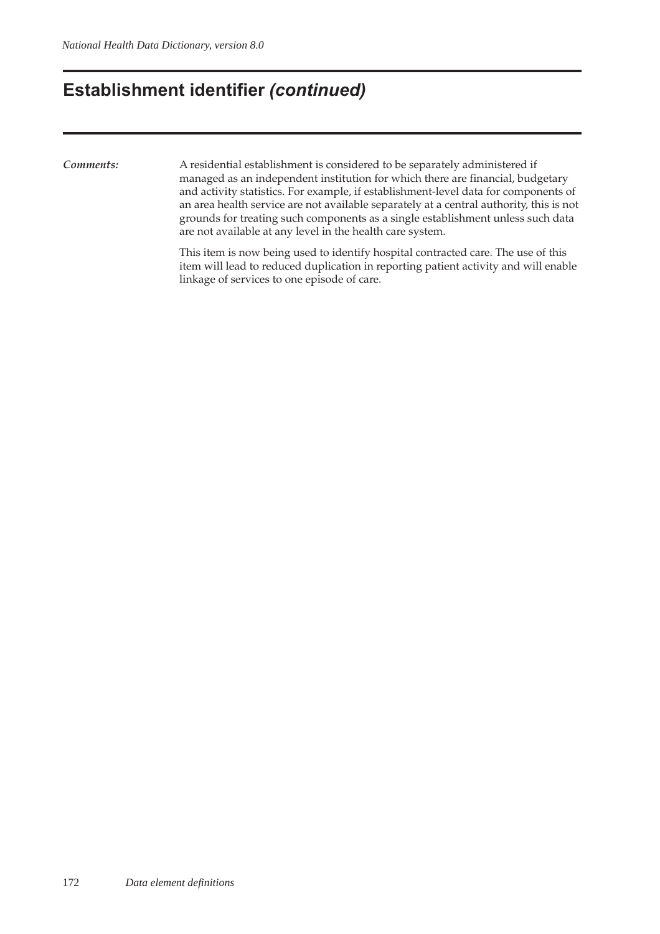### **Establishment identifier** *(continued)*

*Comments:* A residential establishment is considered to be separately administered if managed as an independent institution for which there are financial, budgetary and activity statistics. For example, if establishment-level data for components of an area health service are not available separately at a central authority, this is not grounds for treating such components as a single establishment unless such data are not available at any level in the health care system.

> This item is now being used to identify hospital contracted care. The use of this item will lead to reduced duplication in reporting patient activity and will enable linkage of services to one episode of care.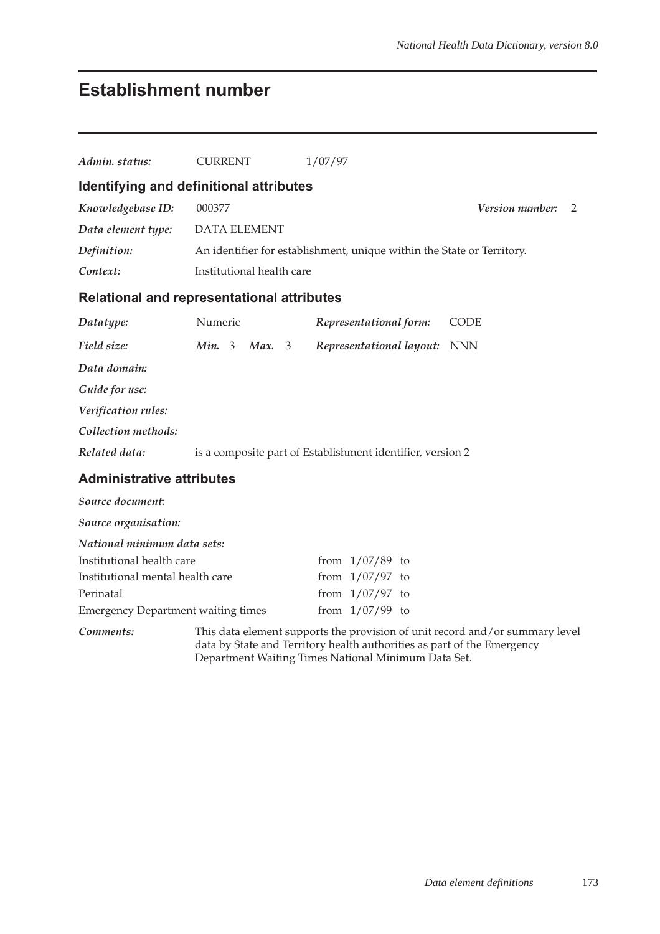## **Establishment number**

| Admin. status:                                    | <b>CURRENT</b>                                             |                                                                        |  | 1/07/97 |                          |  |                                                                                                                                                         |  |  |  |  |
|---------------------------------------------------|------------------------------------------------------------|------------------------------------------------------------------------|--|---------|--------------------------|--|---------------------------------------------------------------------------------------------------------------------------------------------------------|--|--|--|--|
| Identifying and definitional attributes           |                                                            |                                                                        |  |         |                          |  |                                                                                                                                                         |  |  |  |  |
| Knowledgebase ID:                                 | 000377                                                     | Version number:<br>$\overline{2}$                                      |  |         |                          |  |                                                                                                                                                         |  |  |  |  |
|                                                   |                                                            |                                                                        |  |         |                          |  |                                                                                                                                                         |  |  |  |  |
| Data element type:                                |                                                            | DATA ELEMENT                                                           |  |         |                          |  |                                                                                                                                                         |  |  |  |  |
| Definition:                                       |                                                            | An identifier for establishment, unique within the State or Territory. |  |         |                          |  |                                                                                                                                                         |  |  |  |  |
| Context:                                          | Institutional health care                                  |                                                                        |  |         |                          |  |                                                                                                                                                         |  |  |  |  |
| <b>Relational and representational attributes</b> |                                                            |                                                                        |  |         |                          |  |                                                                                                                                                         |  |  |  |  |
| Datatype:                                         | Numeric                                                    |                                                                        |  |         | Representational form:   |  | <b>CODE</b>                                                                                                                                             |  |  |  |  |
| Field size:                                       | Min. 3                                                     | Max. 3                                                                 |  |         | Representational layout: |  | <b>NNN</b>                                                                                                                                              |  |  |  |  |
| Data domain:                                      |                                                            |                                                                        |  |         |                          |  |                                                                                                                                                         |  |  |  |  |
| Guide for use:                                    |                                                            |                                                                        |  |         |                          |  |                                                                                                                                                         |  |  |  |  |
| Verification rules:                               |                                                            |                                                                        |  |         |                          |  |                                                                                                                                                         |  |  |  |  |
| Collection methods:                               |                                                            |                                                                        |  |         |                          |  |                                                                                                                                                         |  |  |  |  |
| Related data:                                     | is a composite part of Establishment identifier, version 2 |                                                                        |  |         |                          |  |                                                                                                                                                         |  |  |  |  |
| <b>Administrative attributes</b>                  |                                                            |                                                                        |  |         |                          |  |                                                                                                                                                         |  |  |  |  |
| Source document:                                  |                                                            |                                                                        |  |         |                          |  |                                                                                                                                                         |  |  |  |  |
| Source organisation:                              |                                                            |                                                                        |  |         |                          |  |                                                                                                                                                         |  |  |  |  |
| National minimum data sets:                       |                                                            |                                                                        |  |         |                          |  |                                                                                                                                                         |  |  |  |  |
| Institutional health care                         |                                                            |                                                                        |  |         | from $1/07/89$ to        |  |                                                                                                                                                         |  |  |  |  |
| Institutional mental health care                  |                                                            |                                                                        |  |         | from $1/07/97$ to        |  |                                                                                                                                                         |  |  |  |  |
| Perinatal                                         |                                                            |                                                                        |  |         | from $1/07/97$ to        |  |                                                                                                                                                         |  |  |  |  |
| <b>Emergency Department waiting times</b>         |                                                            |                                                                        |  |         | from $1/07/99$ to        |  |                                                                                                                                                         |  |  |  |  |
| Comments:                                         |                                                            |                                                                        |  |         |                          |  | This data element supports the provision of unit record and/or summary level<br>data by State and Territory health authorities as part of the Emergency |  |  |  |  |

Department Waiting Times National Minimum Data Set.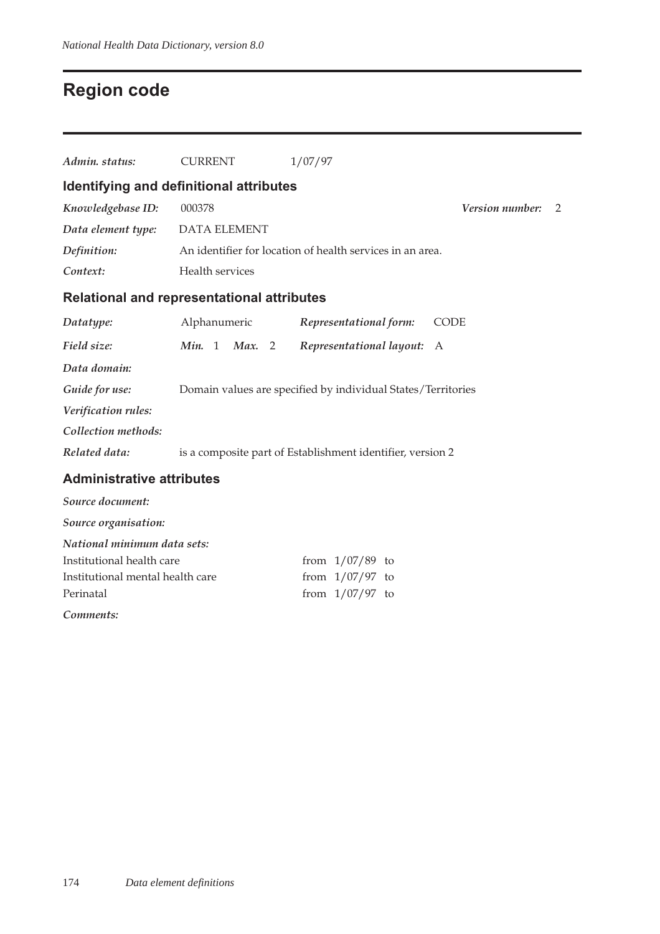## **Region code**

| Admin. status:                                    | <b>CURRENT</b>      |                                                              | 1/07/97                                                    |             |  |  |  |  |  |  |  |
|---------------------------------------------------|---------------------|--------------------------------------------------------------|------------------------------------------------------------|-------------|--|--|--|--|--|--|--|
| Identifying and definitional attributes           |                     |                                                              |                                                            |             |  |  |  |  |  |  |  |
| Knowledgebase ID:                                 | 000378              | Version number:<br>2                                         |                                                            |             |  |  |  |  |  |  |  |
| Data element type:                                | <b>DATA ELEMENT</b> |                                                              |                                                            |             |  |  |  |  |  |  |  |
| Definition:                                       |                     | An identifier for location of health services in an area.    |                                                            |             |  |  |  |  |  |  |  |
| Context:                                          | Health services     |                                                              |                                                            |             |  |  |  |  |  |  |  |
| <b>Relational and representational attributes</b> |                     |                                                              |                                                            |             |  |  |  |  |  |  |  |
| Datatype:                                         | Alphanumeric        |                                                              | Representational form:                                     | <b>CODE</b> |  |  |  |  |  |  |  |
| Field size:                                       | Min. 1<br>Max. 2    |                                                              | Representational layout:                                   | A           |  |  |  |  |  |  |  |
| Data domain:                                      |                     |                                                              |                                                            |             |  |  |  |  |  |  |  |
| Guide for use:                                    |                     | Domain values are specified by individual States/Territories |                                                            |             |  |  |  |  |  |  |  |
| Verification rules:                               |                     |                                                              |                                                            |             |  |  |  |  |  |  |  |
| Collection methods:                               |                     |                                                              |                                                            |             |  |  |  |  |  |  |  |
| Related data:                                     |                     |                                                              | is a composite part of Establishment identifier, version 2 |             |  |  |  |  |  |  |  |
| <b>Administrative attributes</b>                  |                     |                                                              |                                                            |             |  |  |  |  |  |  |  |
| Source document:                                  |                     |                                                              |                                                            |             |  |  |  |  |  |  |  |
| Source organisation:                              |                     |                                                              |                                                            |             |  |  |  |  |  |  |  |
| National minimum data sets:                       |                     |                                                              |                                                            |             |  |  |  |  |  |  |  |
| Institutional health care                         |                     |                                                              | from $1/07/89$ to                                          |             |  |  |  |  |  |  |  |
| Institutional mental health care                  |                     |                                                              | from $1/07/97$ to                                          |             |  |  |  |  |  |  |  |
| Perinatal                                         |                     |                                                              | from $1/07/97$ to                                          |             |  |  |  |  |  |  |  |
| Comments:                                         |                     |                                                              |                                                            |             |  |  |  |  |  |  |  |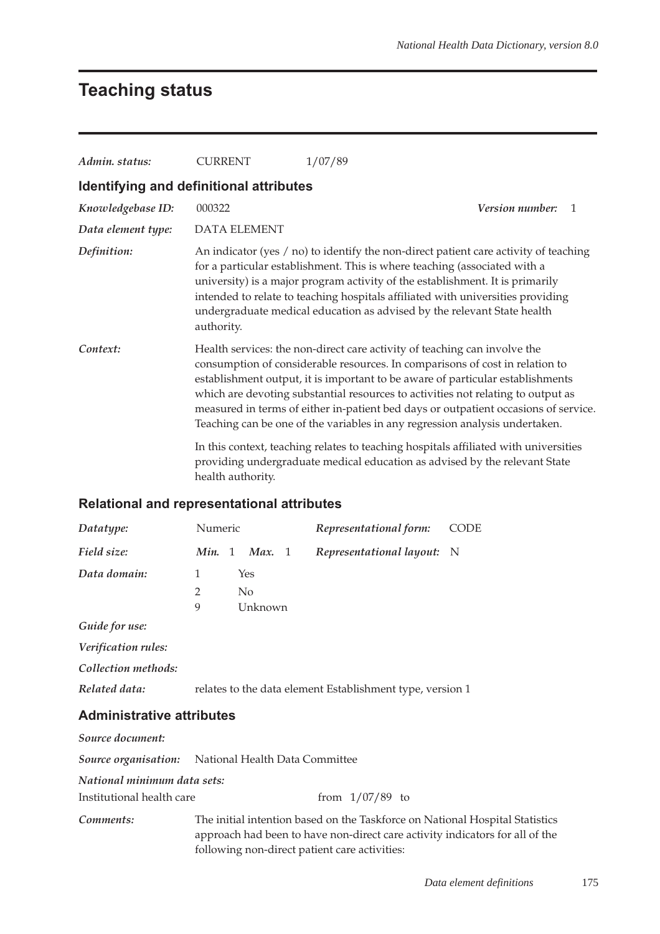## **Teaching status**

| Admin. status:                                    | <b>CURRENT</b>                                                                                                                                                                          | 1/07/89                                                                                                                                                                                                                                                                                                                                                                                                                                                                                               |  |  |  |  |  |  |
|---------------------------------------------------|-----------------------------------------------------------------------------------------------------------------------------------------------------------------------------------------|-------------------------------------------------------------------------------------------------------------------------------------------------------------------------------------------------------------------------------------------------------------------------------------------------------------------------------------------------------------------------------------------------------------------------------------------------------------------------------------------------------|--|--|--|--|--|--|
| Identifying and definitional attributes           |                                                                                                                                                                                         |                                                                                                                                                                                                                                                                                                                                                                                                                                                                                                       |  |  |  |  |  |  |
| Knowledgebase ID:                                 | 000322                                                                                                                                                                                  | Version number:<br>1                                                                                                                                                                                                                                                                                                                                                                                                                                                                                  |  |  |  |  |  |  |
| Data element type:                                | <b>DATA ELEMENT</b>                                                                                                                                                                     |                                                                                                                                                                                                                                                                                                                                                                                                                                                                                                       |  |  |  |  |  |  |
| Definition:                                       | authority.                                                                                                                                                                              | An indicator (yes / no) to identify the non-direct patient care activity of teaching<br>for a particular establishment. This is where teaching (associated with a<br>university) is a major program activity of the establishment. It is primarily<br>intended to relate to teaching hospitals affiliated with universities providing<br>undergraduate medical education as advised by the relevant State health                                                                                      |  |  |  |  |  |  |
| Context:                                          |                                                                                                                                                                                         | Health services: the non-direct care activity of teaching can involve the<br>consumption of considerable resources. In comparisons of cost in relation to<br>establishment output, it is important to be aware of particular establishments<br>which are devoting substantial resources to activities not relating to output as<br>measured in terms of either in-patient bed days or outpatient occasions of service.<br>Teaching can be one of the variables in any regression analysis undertaken. |  |  |  |  |  |  |
|                                                   | In this context, teaching relates to teaching hospitals affiliated with universities<br>providing undergraduate medical education as advised by the relevant State<br>health authority. |                                                                                                                                                                                                                                                                                                                                                                                                                                                                                                       |  |  |  |  |  |  |
| <b>Relational and representational attributes</b> |                                                                                                                                                                                         |                                                                                                                                                                                                                                                                                                                                                                                                                                                                                                       |  |  |  |  |  |  |
|                                                   |                                                                                                                                                                                         |                                                                                                                                                                                                                                                                                                                                                                                                                                                                                                       |  |  |  |  |  |  |

| Datatype:                                           | Numeric      |          | Representational form:                                    | CODE |
|-----------------------------------------------------|--------------|----------|-----------------------------------------------------------|------|
| Field size:                                         | Min. 1       | Max. 1   | <i>Representational layout:</i> N                         |      |
| Data domain:                                        | $\mathbf{1}$ | Yes      |                                                           |      |
|                                                     | 2            | $\rm No$ |                                                           |      |
|                                                     | 9            | Unknown  |                                                           |      |
| Guide for use:                                      |              |          |                                                           |      |
| <i>Verification rules:</i>                          |              |          |                                                           |      |
| Collection methods:                                 |              |          |                                                           |      |
| Related data:                                       |              |          | relates to the data element Establishment type, version 1 |      |
| <b>Administrative attributes</b>                    |              |          |                                                           |      |
| Source document:                                    |              |          |                                                           |      |
| Source organisation: National Health Data Committee |              |          |                                                           |      |
| National minimum data sets:                         |              |          |                                                           |      |

Institutional health care from  $1/07/89$  to

*Comments:* The initial intention based on the Taskforce on National Hospital Statistics approach had been to have non-direct care activity indicators for all of the following non-direct patient care activities: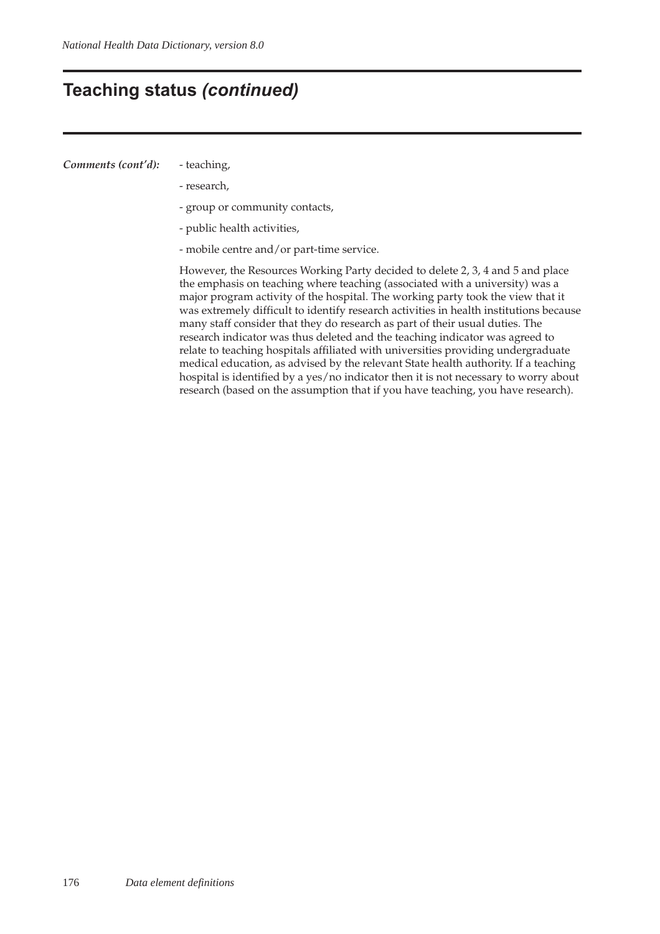### **Teaching status** *(continued)*

#### *Comments (cont'd):* - teaching,

- research,
- group or community contacts,
- public health activities,
- mobile centre and/or part-time service.

However, the Resources Working Party decided to delete 2, 3, 4 and 5 and place the emphasis on teaching where teaching (associated with a university) was a major program activity of the hospital. The working party took the view that it was extremely difficult to identify research activities in health institutions because many staff consider that they do research as part of their usual duties. The research indicator was thus deleted and the teaching indicator was agreed to relate to teaching hospitals affiliated with universities providing undergraduate medical education, as advised by the relevant State health authority. If a teaching hospital is identified by a yes/no indicator then it is not necessary to worry about research (based on the assumption that if you have teaching, you have research).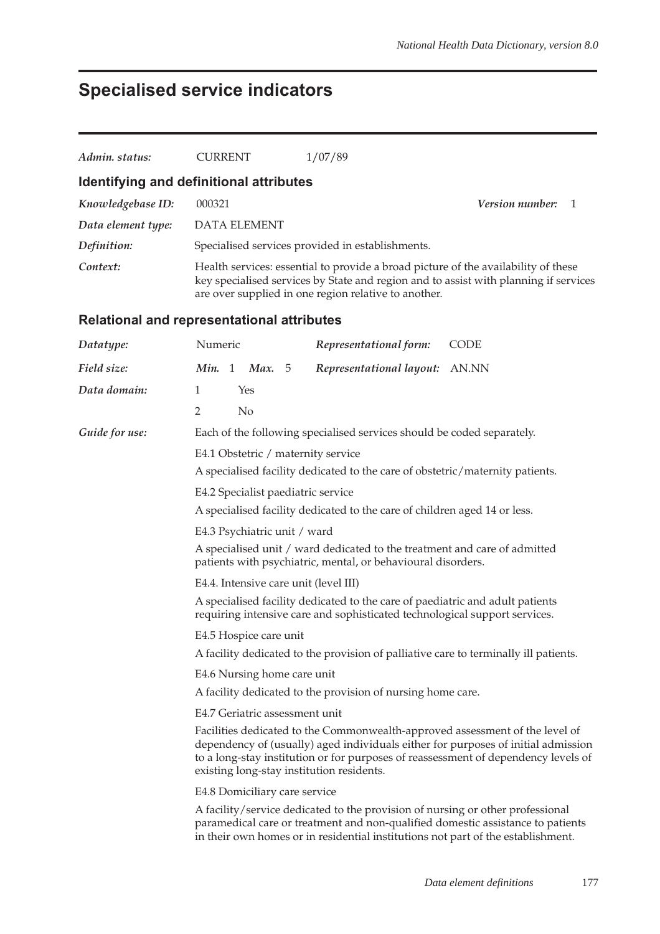## **Specialised service indicators**

| Admin. status:                          | <b>CURRENT</b>                                                                                                                                                                                                                                                                                       |                                                                                                                                                                                                                                    |  | 1/07/89                                                                                                                                                            |                                                                                 |  |  |  |  |  |
|-----------------------------------------|------------------------------------------------------------------------------------------------------------------------------------------------------------------------------------------------------------------------------------------------------------------------------------------------------|------------------------------------------------------------------------------------------------------------------------------------------------------------------------------------------------------------------------------------|--|--------------------------------------------------------------------------------------------------------------------------------------------------------------------|---------------------------------------------------------------------------------|--|--|--|--|--|
| Identifying and definitional attributes |                                                                                                                                                                                                                                                                                                      |                                                                                                                                                                                                                                    |  |                                                                                                                                                                    |                                                                                 |  |  |  |  |  |
| Knowledgebase ID:                       | Version number:<br>000321<br>-1                                                                                                                                                                                                                                                                      |                                                                                                                                                                                                                                    |  |                                                                                                                                                                    |                                                                                 |  |  |  |  |  |
| Data element type:                      |                                                                                                                                                                                                                                                                                                      | <b>DATA ELEMENT</b>                                                                                                                                                                                                                |  |                                                                                                                                                                    |                                                                                 |  |  |  |  |  |
| Definition:                             |                                                                                                                                                                                                                                                                                                      |                                                                                                                                                                                                                                    |  | Specialised services provided in establishments.                                                                                                                   |                                                                                 |  |  |  |  |  |
| Context:                                |                                                                                                                                                                                                                                                                                                      | Health services: essential to provide a broad picture of the availability of these<br>key specialised services by State and region and to assist with planning if services<br>are over supplied in one region relative to another. |  |                                                                                                                                                                    |                                                                                 |  |  |  |  |  |
|                                         | <b>Relational and representational attributes</b>                                                                                                                                                                                                                                                    |                                                                                                                                                                                                                                    |  |                                                                                                                                                                    |                                                                                 |  |  |  |  |  |
| Datatype:                               | Numeric                                                                                                                                                                                                                                                                                              |                                                                                                                                                                                                                                    |  | Representational form:                                                                                                                                             | <b>CODE</b>                                                                     |  |  |  |  |  |
| Field size:                             |                                                                                                                                                                                                                                                                                                      | Min. 1 Max. 5                                                                                                                                                                                                                      |  | Representational layout:                                                                                                                                           | AN.NN                                                                           |  |  |  |  |  |
| Data domain:                            | 1                                                                                                                                                                                                                                                                                                    | Yes                                                                                                                                                                                                                                |  |                                                                                                                                                                    |                                                                                 |  |  |  |  |  |
|                                         | $\overline{2}$                                                                                                                                                                                                                                                                                       | No                                                                                                                                                                                                                                 |  |                                                                                                                                                                    |                                                                                 |  |  |  |  |  |
| Guide for use:                          |                                                                                                                                                                                                                                                                                                      |                                                                                                                                                                                                                                    |  | Each of the following specialised services should be coded separately.                                                                                             |                                                                                 |  |  |  |  |  |
|                                         | E4.1 Obstetric / maternity service                                                                                                                                                                                                                                                                   |                                                                                                                                                                                                                                    |  |                                                                                                                                                                    |                                                                                 |  |  |  |  |  |
|                                         |                                                                                                                                                                                                                                                                                                      |                                                                                                                                                                                                                                    |  | A specialised facility dedicated to the care of obstetric/maternity patients.                                                                                      |                                                                                 |  |  |  |  |  |
|                                         |                                                                                                                                                                                                                                                                                                      |                                                                                                                                                                                                                                    |  | E4.2 Specialist paediatric service                                                                                                                                 |                                                                                 |  |  |  |  |  |
|                                         | A specialised facility dedicated to the care of children aged 14 or less.                                                                                                                                                                                                                            |                                                                                                                                                                                                                                    |  |                                                                                                                                                                    |                                                                                 |  |  |  |  |  |
|                                         | E4.3 Psychiatric unit / ward                                                                                                                                                                                                                                                                         |                                                                                                                                                                                                                                    |  |                                                                                                                                                                    |                                                                                 |  |  |  |  |  |
|                                         | A specialised unit / ward dedicated to the treatment and care of admitted<br>patients with psychiatric, mental, or behavioural disorders.                                                                                                                                                            |                                                                                                                                                                                                                                    |  |                                                                                                                                                                    |                                                                                 |  |  |  |  |  |
|                                         |                                                                                                                                                                                                                                                                                                      |                                                                                                                                                                                                                                    |  | E4.4. Intensive care unit (level III)                                                                                                                              |                                                                                 |  |  |  |  |  |
|                                         |                                                                                                                                                                                                                                                                                                      |                                                                                                                                                                                                                                    |  | A specialised facility dedicated to the care of paediatric and adult patients<br>requiring intensive care and sophisticated technological support services.        |                                                                                 |  |  |  |  |  |
|                                         |                                                                                                                                                                                                                                                                                                      | E4.5 Hospice care unit                                                                                                                                                                                                             |  |                                                                                                                                                                    |                                                                                 |  |  |  |  |  |
|                                         |                                                                                                                                                                                                                                                                                                      |                                                                                                                                                                                                                                    |  | A facility dedicated to the provision of palliative care to terminally ill patients.                                                                               |                                                                                 |  |  |  |  |  |
|                                         |                                                                                                                                                                                                                                                                                                      | E4.6 Nursing home care unit                                                                                                                                                                                                        |  |                                                                                                                                                                    |                                                                                 |  |  |  |  |  |
|                                         |                                                                                                                                                                                                                                                                                                      |                                                                                                                                                                                                                                    |  | A facility dedicated to the provision of nursing home care.                                                                                                        |                                                                                 |  |  |  |  |  |
|                                         | E4.7 Geriatric assessment unit                                                                                                                                                                                                                                                                       |                                                                                                                                                                                                                                    |  |                                                                                                                                                                    |                                                                                 |  |  |  |  |  |
|                                         | Facilities dedicated to the Commonwealth-approved assessment of the level of<br>dependency of (usually) aged individuals either for purposes of initial admission<br>to a long-stay institution or for purposes of reassessment of dependency levels of<br>existing long-stay institution residents. |                                                                                                                                                                                                                                    |  |                                                                                                                                                                    |                                                                                 |  |  |  |  |  |
|                                         |                                                                                                                                                                                                                                                                                                      | E4.8 Domiciliary care service                                                                                                                                                                                                      |  |                                                                                                                                                                    |                                                                                 |  |  |  |  |  |
|                                         |                                                                                                                                                                                                                                                                                                      |                                                                                                                                                                                                                                    |  | A facility/service dedicated to the provision of nursing or other professional<br>in their own homes or in residential institutions not part of the establishment. | paramedical care or treatment and non-qualified domestic assistance to patients |  |  |  |  |  |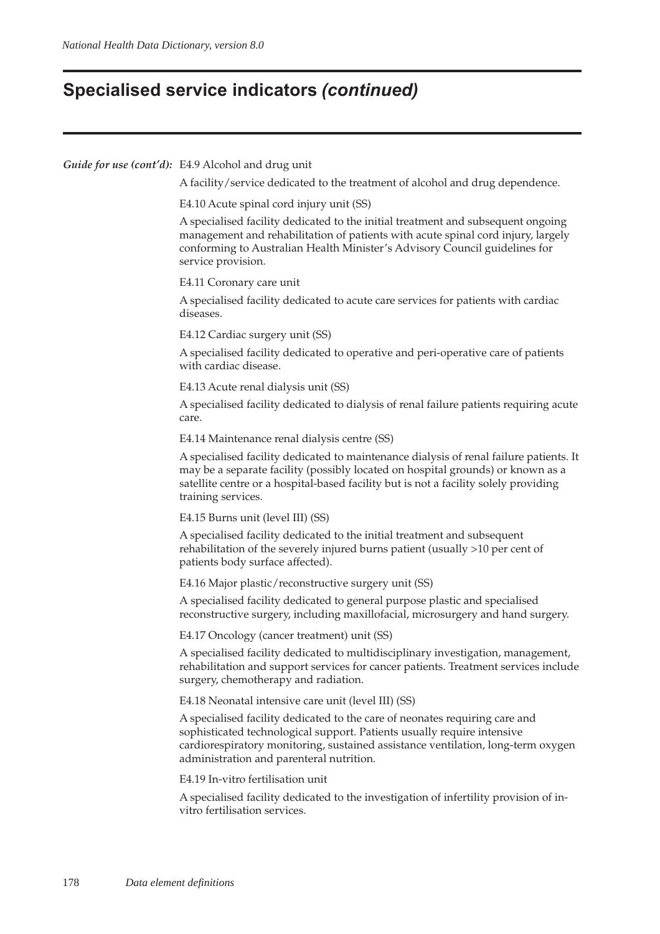### **Specialised service indicators** *(continued)*

#### *Guide for use (cont'd):* E4.9 Alcohol and drug unit

A facility/service dedicated to the treatment of alcohol and drug dependence.

E4.10 Acute spinal cord injury unit (SS)

A specialised facility dedicated to the initial treatment and subsequent ongoing management and rehabilitation of patients with acute spinal cord injury, largely conforming to Australian Health Minister's Advisory Council guidelines for service provision.

E4.11 Coronary care unit

A specialised facility dedicated to acute care services for patients with cardiac diseases.

E4.12 Cardiac surgery unit (SS)

A specialised facility dedicated to operative and peri-operative care of patients with cardiac disease.

#### E4.13 Acute renal dialysis unit (SS)

A specialised facility dedicated to dialysis of renal failure patients requiring acute care.

E4.14 Maintenance renal dialysis centre (SS)

A specialised facility dedicated to maintenance dialysis of renal failure patients. It may be a separate facility (possibly located on hospital grounds) or known as a satellite centre or a hospital-based facility but is not a facility solely providing training services.

E4.15 Burns unit (level III) (SS)

A specialised facility dedicated to the initial treatment and subsequent rehabilitation of the severely injured burns patient (usually >10 per cent of patients body surface affected).

E4.16 Major plastic/reconstructive surgery unit (SS)

A specialised facility dedicated to general purpose plastic and specialised reconstructive surgery, including maxillofacial, microsurgery and hand surgery.

E4.17 Oncology (cancer treatment) unit (SS)

A specialised facility dedicated to multidisciplinary investigation, management, rehabilitation and support services for cancer patients. Treatment services include surgery, chemotherapy and radiation.

E4.18 Neonatal intensive care unit (level III) (SS)

A specialised facility dedicated to the care of neonates requiring care and sophisticated technological support. Patients usually require intensive cardiorespiratory monitoring, sustained assistance ventilation, long-term oxygen administration and parenteral nutrition.

E4.19 In-vitro fertilisation unit

A specialised facility dedicated to the investigation of infertility provision of invitro fertilisation services.